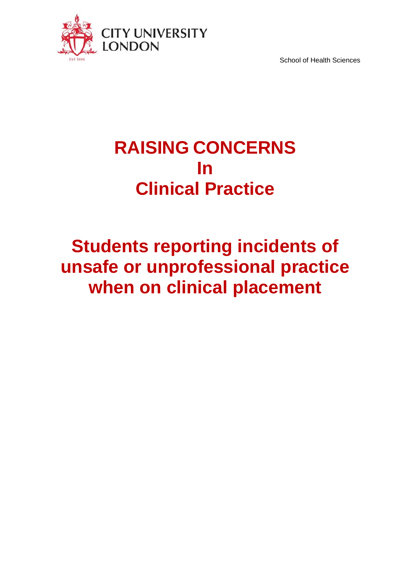

School of Health Sciences

## **RAISING CONCERNS In Clinical Practice**

# **Students reporting incidents of unsafe or unprofessional practice when on clinical placement**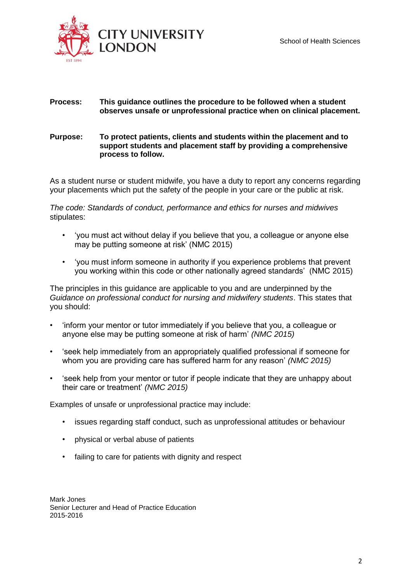



#### **Process: This guidance outlines the procedure to be followed when a student observes unsafe or unprofessional practice when on clinical placement.**

#### **Purpose: To protect patients, clients and students within the placement and to support students and placement staff by providing a comprehensive process to follow.**

As a student nurse or student midwife, you have a duty to report any concerns regarding your placements which put the safety of the people in your care or the public at risk.

*The code: Standards of conduct, performance and ethics for nurses and midwives*  stipulates:

- 'you must act without delay if you believe that you, a colleague or anyone else may be putting someone at risk' (NMC 2015)
- 'you must inform someone in authority if you experience problems that prevent you working within this code or other nationally agreed standards' (NMC 2015)

The principles in this guidance are applicable to you and are underpinned by the *Guidance on professional conduct for nursing and midwifery students*. This states that you should:

- 'inform your mentor or tutor immediately if you believe that you, a colleague or anyone else may be putting someone at risk of harm' *(NMC 2015)*
- 'seek help immediately from an appropriately qualified professional if someone for whom you are providing care has suffered harm for any reason' *(NMC 2015)*
- 'seek help from your mentor or tutor if people indicate that they are unhappy about their care or treatment' *(NMC 2015)*

Examples of unsafe or unprofessional practice may include:

- issues regarding staff conduct, such as unprofessional attitudes or behaviour
- physical or verbal abuse of patients
- failing to care for patients with dignity and respect